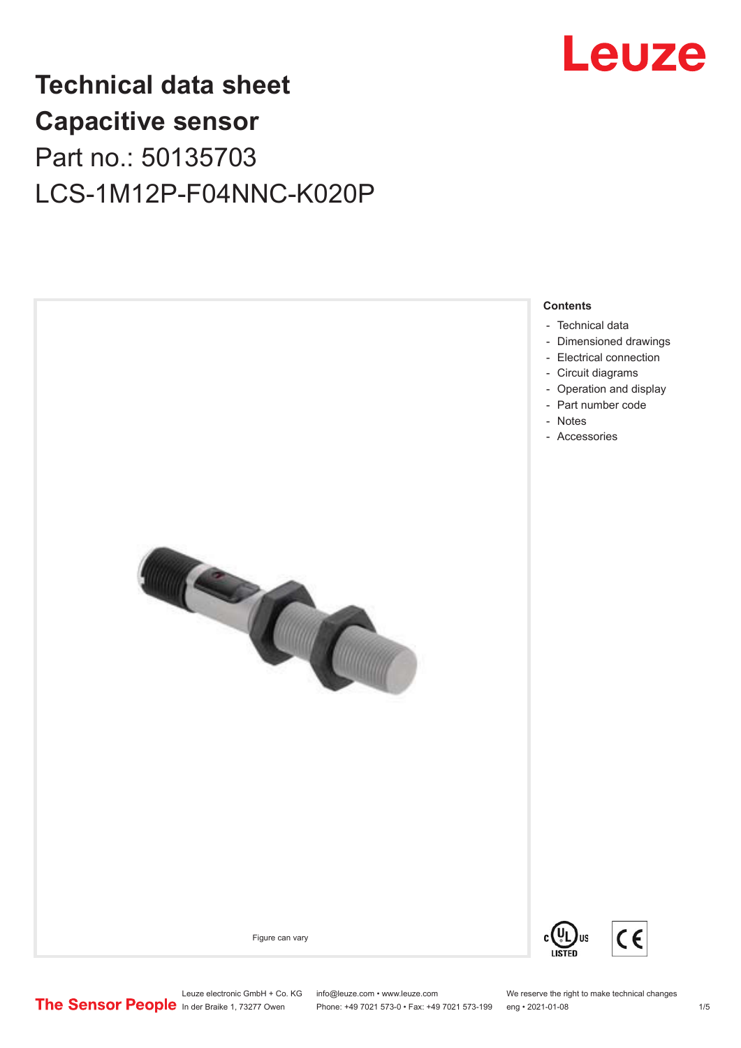

# **Technical data sheet Capacitive sensor** Part no.: 50135703 LCS-1M12P-F04NNC-K020P



- [Technical data](#page-1-0)
- [Dimensioned drawings](#page-2-0)
- [Electrical connection](#page-2-0)
- [Circuit diagrams](#page-3-0)
- [Operation and display](#page-3-0)
- [Part number code](#page-3-0)
- [Notes](#page-4-0)
- [Accessories](#page-4-0)



 $\epsilon$ **US** 

Figure can vary



Leuze electronic GmbH + Co. KG info@leuze.com • www.leuze.com We reserve the right to make technical changes<br>
The Sensor People in der Braike 1, 73277 Owen Phone: +49 7021 573-0 • Fax: +49 7021 573-199 eng • 2021-01-08

Phone: +49 7021 573-0 • Fax: +49 7021 573-199 eng • 2021-01-08 1 /5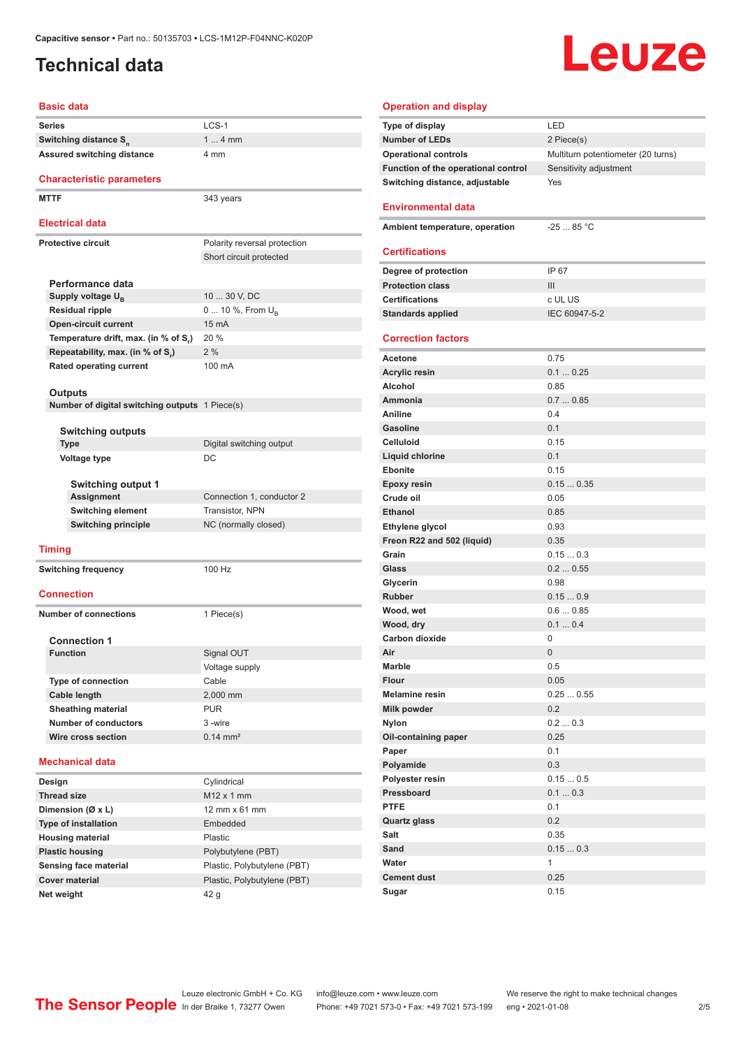### <span id="page-1-0"></span>**Technical data**

# **Leuze**

#### **Basic data**

| <b>Basic data</b>                              |                                      |  |
|------------------------------------------------|--------------------------------------|--|
| <b>Series</b>                                  | LCS-1                                |  |
| Switching distance S <sub>n</sub>              | $14$ mm                              |  |
| Assured switching distance                     | 4 mm                                 |  |
| <b>Characteristic parameters</b>               |                                      |  |
| <b>MTTF</b>                                    | 343 years                            |  |
| <b>Electrical data</b>                         |                                      |  |
| <b>Protective circuit</b>                      | Polarity reversal protection         |  |
|                                                | Short circuit protected              |  |
| Performance data                               |                                      |  |
| Supply voltage $U_{\rm B}$                     | 10  30 V, DC                         |  |
| Residual ripple                                | 0  10 %, From $U_{\rm B}$            |  |
| <b>Open-circuit current</b>                    | 15 mA                                |  |
| Temperature drift, max. (in % of S.)           | 20 %                                 |  |
| Repeatability, max. (in % of S.)               | 2%                                   |  |
| <b>Rated operating current</b>                 | 100 mA                               |  |
| Outputs                                        |                                      |  |
| Number of digital switching outputs 1 Piece(s) |                                      |  |
|                                                |                                      |  |
| Switching outputs<br><b>Type</b>               | Digital switching output             |  |
| Voltage type                                   | DC                                   |  |
|                                                |                                      |  |
| <b>Switching output 1</b>                      |                                      |  |
| Assignment                                     | Connection 1, conductor 2            |  |
| Switching element                              | Transistor, NPN                      |  |
| <b>Switching principle</b>                     | NC (normally closed)                 |  |
| <b>Timing</b>                                  |                                      |  |
|                                                |                                      |  |
| <b>Switching frequency</b>                     | 100 Hz                               |  |
| <b>Connection</b>                              |                                      |  |
| <b>Number of connections</b>                   | 1 Piece(s)                           |  |
|                                                |                                      |  |
| <b>Connection 1</b>                            |                                      |  |
| <b>Function</b>                                | Signal OUT                           |  |
|                                                | Voltage supply<br>Cable              |  |
| <b>Type of connection</b><br>Cable length      |                                      |  |
| <b>Sheathing material</b>                      | 2,000 mm<br><b>PUR</b>               |  |
| <b>Number of conductors</b>                    | 3-wire                               |  |
| Wire cross section                             | $0.14 \, \text{mm}^2$                |  |
|                                                |                                      |  |
| <b>Mechanical data</b>                         |                                      |  |
| Design                                         | Cylindrical                          |  |
| <b>Thread size</b>                             | $M12 \times 1$ mm                    |  |
| Dimension (Ø x L)                              | $12 \text{ mm} \times 61 \text{ mm}$ |  |
| <b>Type of installation</b>                    | Embedded                             |  |
| <b>Housing material</b>                        | Plastic                              |  |
| <b>Plastic housing</b>                         | Polybutylene (PBT)                   |  |
| Sensing face material                          | Plastic, Polybutylene (PBT)          |  |
| <b>Cover material</b>                          | Plastic, Polybutylene (PBT)          |  |
| Net weight                                     | 42 g                                 |  |

| <b>Operation and display</b>        |                                    |
|-------------------------------------|------------------------------------|
| Type of display                     | LED                                |
| <b>Number of LEDs</b>               | 2 Piece(s)                         |
| <b>Operational controls</b>         | Multiturn potentiometer (20 turns) |
| Function of the operational control | Sensitivity adjustment             |
| Switching distance, adjustable      | Yes                                |
| <b>Environmental data</b>           |                                    |
| Ambient temperature, operation      | $-25$ 85 °C                        |
| <b>Certifications</b>               |                                    |
| Degree of protection                | IP 67                              |
| <b>Protection class</b>             | III                                |
| <b>Certifications</b>               | c UL US                            |
| <b>Standards applied</b>            | IEC 60947-5-2                      |
| <b>Correction factors</b>           |                                    |
| <b>Acetone</b>                      | 0.75                               |
| <b>Acrylic resin</b>                | 0.10.25                            |
| Alcohol                             | 0.85                               |
| Ammonia                             | 0.70.85                            |
| <b>Aniline</b>                      | 0.4                                |
| Gasoline                            | 0.1                                |
| <b>Celluloid</b>                    | 0.15                               |
| <b>Liquid chlorine</b>              | 0.1                                |
| <b>Ebonite</b>                      | 0.15                               |
| <b>Epoxy resin</b>                  | 0.150.35                           |
| Crude oil                           | 0.05                               |
| <b>Ethanol</b>                      | 0.85                               |
| Ethylene glycol                     | 0.93                               |
| Freon R22 and 502 (liquid)          | 0.35                               |
| Grain                               | 0.150.3                            |
| Glass                               | 0.20.55                            |
| Glycerin<br>Rubber                  | 0.98<br>0.150.9                    |
| Wood, wet                           | 0.60.85                            |
| Wood, dry                           | 0.10.4                             |
| Carbon dioxide                      | 0                                  |
| Air                                 | 0                                  |
| Marble                              | 0.5                                |
| <b>Flour</b>                        | 0.05                               |
| <b>Melamine resin</b>               | 0.250.55                           |
| Milk powder                         | 0.2                                |
| <b>Nylon</b>                        | 0.20.3                             |
| Oil-containing paper                | 0.25                               |
| Paper                               | 0.1                                |
| Polyamide                           | 0.3                                |
| Polyester resin                     | 0.150.5                            |
| Pressboard                          | 0.10.3                             |
| <b>PTFE</b>                         | 0.1                                |
| <b>Quartz glass</b>                 | 0.2                                |
| Salt                                | 0.35                               |
| Sand                                | 0.150.3                            |
| Water                               | $\mathbf{1}$                       |
| <b>Cement dust</b>                  | 0.25                               |
| Sugar                               | 0.15                               |

ln der Braike 1, 73277 Owen Phone: +49 7021 573-0 • Fax: +49 7021 573-199 eng • 2021-01-08 2/5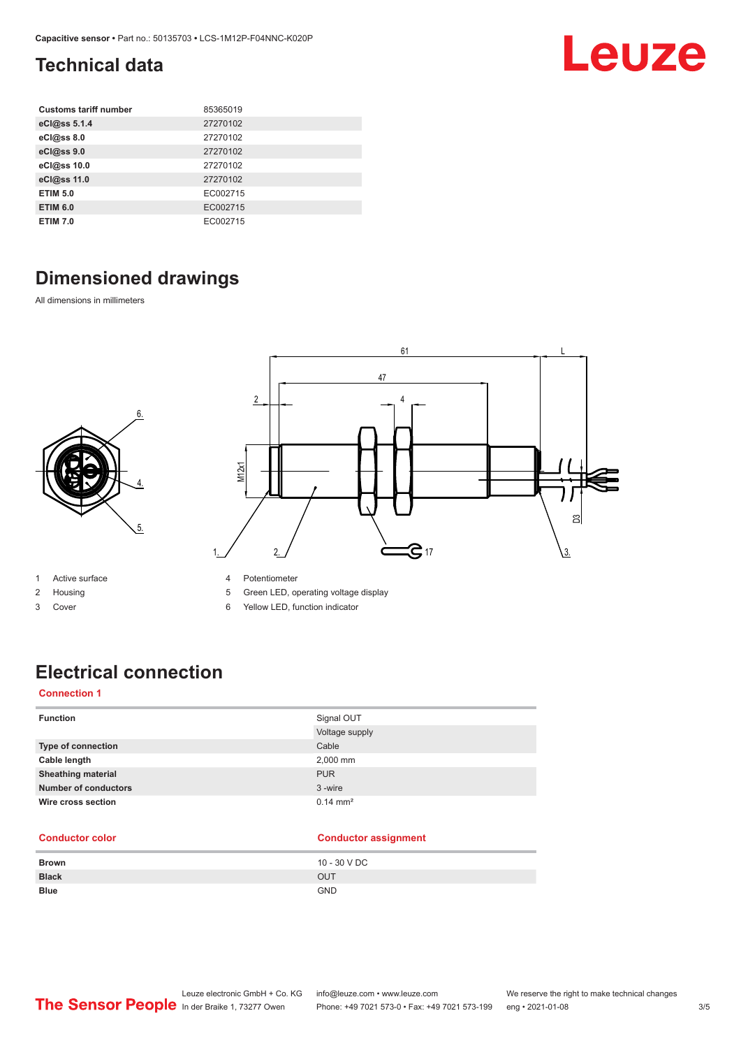### <span id="page-2-0"></span>**Technical data**

| <b>Customs tariff number</b> | 85365019 |
|------------------------------|----------|
| eCl@ss 5.1.4                 | 27270102 |
| eCl@ss 8.0                   | 27270102 |
| eCl@ss 9.0                   | 27270102 |
| eCl@ss 10.0                  | 27270102 |
| eCl@ss 11.0                  | 27270102 |
| <b>ETIM 5.0</b>              | EC002715 |
| <b>ETIM 6.0</b>              | EC002715 |
| <b>ETIM 7.0</b>              | EC002715 |

### **Dimensioned drawings**

6.

4.

5.

All dimensions in millimeters



- 1 Active surface
- 2 Housing
- 3 Cover
- 4 Potentiometer
- 5 Green LED, operating voltage display
- 6 Yellow LED, function indicator

### **Electrical connection**

#### **Connection 1**

| <b>Function</b>             | Signal OUT          |
|-----------------------------|---------------------|
|                             | Voltage supply      |
| Type of connection          | Cable               |
| Cable length                | 2,000 mm            |
| <b>Sheathing material</b>   | <b>PUR</b>          |
| <b>Number of conductors</b> | 3-wire              |
| Wire cross section          | $0.14 \text{ mm}^2$ |

#### **Conductor color Conductor assignment**

| <b>Brown</b> | 10 - 30 V DC |
|--------------|--------------|
| <b>Black</b> | OUT          |
| <b>Blue</b>  | <b>GND</b>   |

Leuze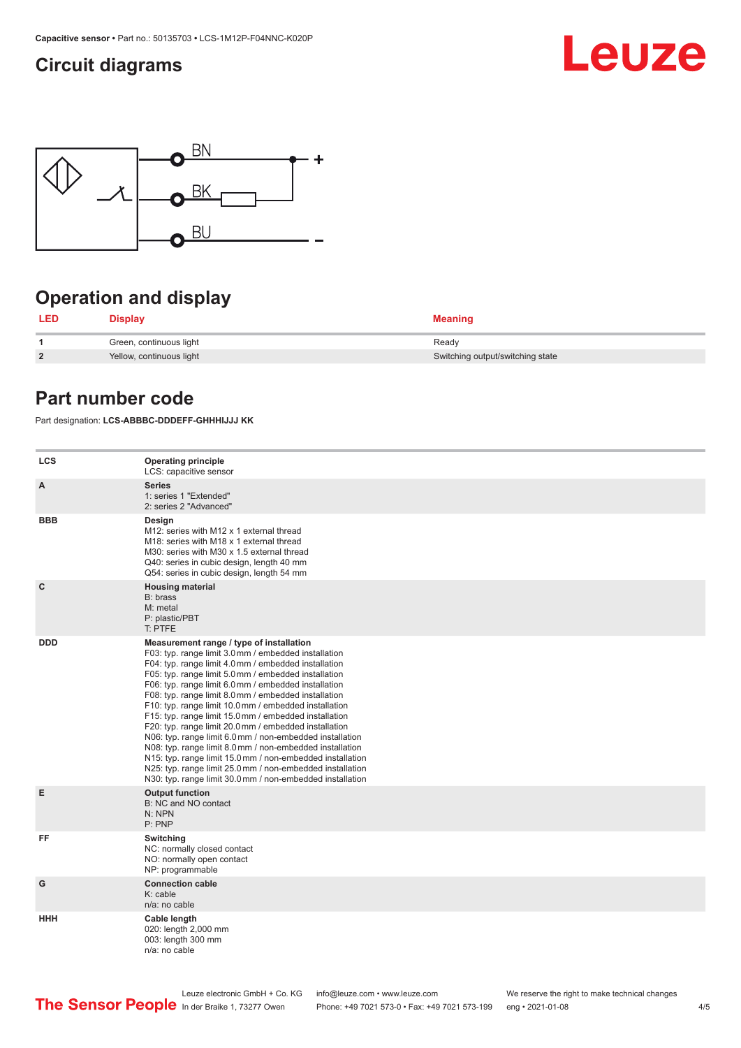### <span id="page-3-0"></span>**Circuit diagrams**





### **Operation and display**

| <b>LED</b>     | Display                  | <b>Meaning</b>                   |
|----------------|--------------------------|----------------------------------|
|                | Green, continuous light  | Ready                            |
| $\overline{2}$ | Yellow, continuous light | Switching output/switching state |

### **Part number code**

Part designation: **LCS-ABBBC-DDDEFF-GHHHIJJJ KK**

| <b>LCS</b>   | <b>Operating principle</b><br>LCS: capacitive sensor                                                                                                                                                                                                                                                                                                                                                                                                                                                                                                                                                                                                                                                                                                                                                                       |
|--------------|----------------------------------------------------------------------------------------------------------------------------------------------------------------------------------------------------------------------------------------------------------------------------------------------------------------------------------------------------------------------------------------------------------------------------------------------------------------------------------------------------------------------------------------------------------------------------------------------------------------------------------------------------------------------------------------------------------------------------------------------------------------------------------------------------------------------------|
| A            | <b>Series</b><br>1: series 1 "Extended"<br>2: series 2 "Advanced"                                                                                                                                                                                                                                                                                                                                                                                                                                                                                                                                                                                                                                                                                                                                                          |
| <b>BBB</b>   | Design<br>M12: series with M12 x 1 external thread<br>M18: series with M18 x 1 external thread<br>M30: series with M30 x 1.5 external thread<br>Q40: series in cubic design, length 40 mm<br>Q54: series in cubic design, length 54 mm                                                                                                                                                                                                                                                                                                                                                                                                                                                                                                                                                                                     |
| $\mathbf{C}$ | <b>Housing material</b><br>B: brass<br>M: metal<br>P: plastic/PBT<br>T: PTFE                                                                                                                                                                                                                                                                                                                                                                                                                                                                                                                                                                                                                                                                                                                                               |
| <b>DDD</b>   | Measurement range / type of installation<br>F03: typ. range limit 3.0 mm / embedded installation<br>F04: typ. range limit 4.0 mm / embedded installation<br>F05: typ. range limit 5.0 mm / embedded installation<br>F06: typ. range limit 6.0 mm / embedded installation<br>F08: typ. range limit 8.0 mm / embedded installation<br>F10: typ. range limit 10.0 mm / embedded installation<br>F15: typ. range limit 15.0 mm / embedded installation<br>F20: typ. range limit 20.0 mm / embedded installation<br>N06: typ. range limit 6.0 mm / non-embedded installation<br>N08: typ. range limit 8.0 mm / non-embedded installation<br>N15: typ. range limit 15.0 mm / non-embedded installation<br>N25: typ. range limit 25.0 mm / non-embedded installation<br>N30: typ. range limit 30.0 mm / non-embedded installation |
| E            | <b>Output function</b><br>B: NC and NO contact<br>N: NPN<br>P: PNP                                                                                                                                                                                                                                                                                                                                                                                                                                                                                                                                                                                                                                                                                                                                                         |
| FF           | Switching<br>NC: normally closed contact<br>NO: normally open contact<br>NP: programmable                                                                                                                                                                                                                                                                                                                                                                                                                                                                                                                                                                                                                                                                                                                                  |
| G            | <b>Connection cable</b><br>K: cable<br>n/a: no cable                                                                                                                                                                                                                                                                                                                                                                                                                                                                                                                                                                                                                                                                                                                                                                       |
| HHH          | Cable length<br>020: length 2,000 mm<br>003: length 300 mm<br>n/a: no cable                                                                                                                                                                                                                                                                                                                                                                                                                                                                                                                                                                                                                                                                                                                                                |